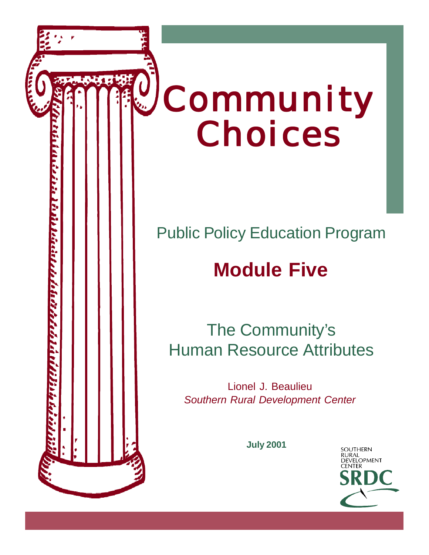

## Public Policy Education Program

# **Module Five**

<u>unisita dende de l'adresse de la distribuitibilità de la compagne de la distribució de la compagne de la compa</u>

The Community's Human Resource Attributes

Lionel J. Beaulieu *Southern Rural Development Center*

**July 2001**

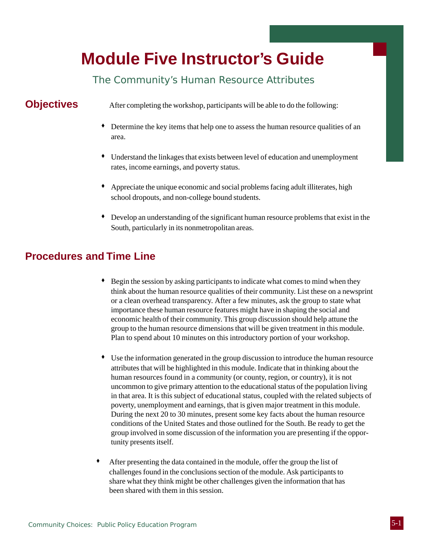## **Module Five Instructor's Guide**

### The Community's Human Resource Attributes

**Objectives** After completing the workshop, participants will be able to do the following:

- Determine the key items that help one to assess the human resource qualities of an area.
- Understand the linkages that exists between level of education and unemployment rates, income earnings, and poverty status.
- Appreciate the unique economic and social problems facing adult illiterates, high school dropouts, and non-college bound students.
- Develop an understanding of the significant human resource problems that exist in the South, particularly in its nonmetropolitan areas.

### **Procedures and Time Line**

- Begin the session by asking participants to indicate what comes to mind when they think about the human resource qualities of their community. List these on a newsprint or a clean overhead transparency. After a few minutes, ask the group to state what importance these human resource features might have in shaping the social and economic health of their community. This group discussion should help attune the group to the human resource dimensions that will be given treatment in this module. Plan to spend about 10 minutes on this introductory portion of your workshop.
- Use the information generated in the group discussion to introduce the human resource attributes that will be highlighted in this module. Indicate that in thinking about the human resources found in a community (or county, region, or country), it is not uncommon to give primary attention to the educational status of the population living in that area. It is this subject of educational status, coupled with the related subjects of poverty, unemployment and earnings, that is given major treatment in this module. During the next 20 to 30 minutes, present some key facts about the human resource conditions of the United States and those outlined for the South. Be ready to get the group involved in some discussion of the information you are presenting if the opportunity presents itself.
- After presenting the data contained in the module, offer the group the list of challenges found in the conclusions section of the module. Ask participants to share what they think might be other challenges given the information that has been shared with them in this session.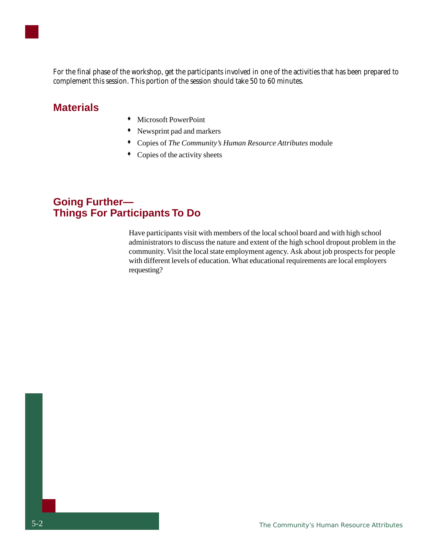

For the final phase of the workshop, get the participants involved in one of the activities that has been prepared to complement this session. This portion of the session should take 50 to 60 minutes.

### **Materials**

- Microsoft PowerPoint
- Newsprint pad and markers
- Copies of *The Community's Human Resource Attributes* module
- Copies of the activity sheets

### **Going Further— Things For Participants To Do**

Have participants visit with members of the local school board and with high school administrators to discuss the nature and extent of the high school dropout problem in the community. Visit the local state employment agency. Ask about job prospects for people with different levels of education. What educational requirements are local employers requesting?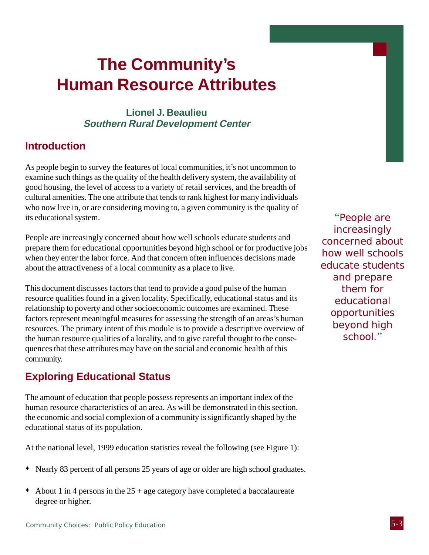## **The Community's Human Resource Attributes**

### **Lionel J. Beaulieu Southern Rural Development Center**

### **Introduction**

As people begin to survey the features of local communities, it's not uncommon to examine such things as the quality of the health delivery system, the availability of good housing, the level of access to a variety of retail services, and the breadth of cultural amenities. The one attribute that tends to rank highest for many individuals who now live in, or are considering moving to, a given community is the quality of its educational system.

People are increasingly concerned about how well schools educate students and prepare them for educational opportunities beyond high school or for productive jobs when they enter the labor force. And that concern often influences decisions made about the attractiveness of a local community as a place to live.

This document discusses factors that tend to provide a good pulse of the human resource qualities found in a given locality. Specifically, educational status and its relationship to poverty and other socioeconomic outcomes are examined. These factors represent meaningful measures for assessing the strength of an areas's human resources. The primary intent of this module is to provide a descriptive overview of the human resource qualities of a locality, and to give careful thought to the consequences that these attributes may have on the social and economic health of this community.

### **Exploring Educational Status**

The amount of education that people possess represents an important index of the human resource characteristics of an area. As will be demonstrated in this section, the economic and social complexion of a community is significantly shaped by the educational status of its population.

At the national level, 1999 education statistics reveal the following (see Figure 1):

- Nearly 83 percent of all persons 25 years of age or older are high school graduates.
- $\bullet$  About 1 in 4 persons in the 25 + age category have completed a baccalaureate degree or higher.

"People are increasingly concerned about how well schools educate students and prepare them for educational opportunities beyond high school."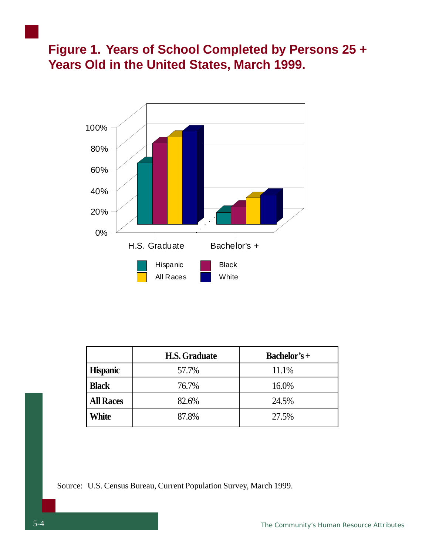**Figure 1. Years of School Completed by Persons 25 + Years Old in the United States, March 1999.**



|                  | <b>H.S. Graduate</b> | $Bachelor's +$ |
|------------------|----------------------|----------------|
| <b>Hispanic</b>  | 57.7%                | 11.1%          |
| <b>Black</b>     | 76.7%                | 16.0%          |
| <b>All Races</b> | 82.6%                | 24.5%          |
| White            | 87.8%                | 27.5%          |

Source: U.S. Census Bureau, Current Population Survey, March 1999.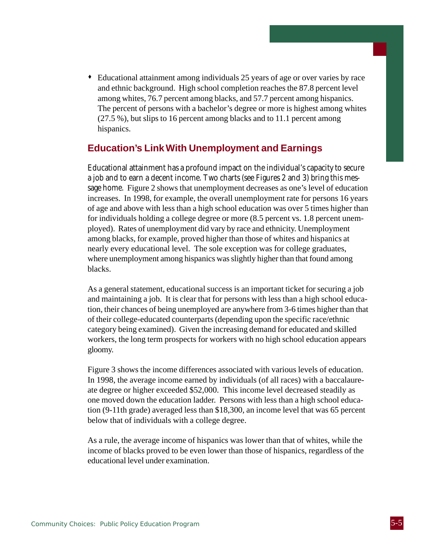Educational attainment among individuals 25 years of age or over varies by race and ethnic background. High school completion reaches the 87.8 percent level among whites, 76.7 percent among blacks, and 57.7 percent among hispanics. The percent of persons with a bachelor's degree or more is highest among whites (27.5 %), but slips to 16 percent among blacks and to 11.1 percent among hispanics.

### **Education's Link With Unemployment and Earnings**

Educational attainment has a profound impact on the individual's capacity to secure a job and to earn a decent income. Two charts (see Figures 2 and 3) bring this message home. Figure 2 shows that unemployment decreases as one's level of education increases. In 1998, for example, the overall unemployment rate for persons 16 years of age and above with less than a high school education was over 5 times higher than for individuals holding a college degree or more (8.5 percent vs. 1.8 percent unemployed). Rates of unemployment did vary by race and ethnicity. Unemployment among blacks, for example, proved higher than those of whites and hispanics at nearly every educational level. The sole exception was for college graduates, where unemployment among hispanics was slightly higher than that found among blacks.

As a general statement, educational success is an important ticket for securing a job and maintaining a job. It is clear that for persons with less than a high school education, their chances of being unemployed are anywhere from 3-6 times higher than that of their college-educated counterparts (depending upon the specific race/ethnic category being examined). Given the increasing demand for educated and skilled workers, the long term prospects for workers with no high school education appears gloomy.

Figure 3 shows the income differences associated with various levels of education. In 1998, the average income earned by individuals (of all races) with a baccalaureate degree or higher exceeded \$52,000. This income level decreased steadily as one moved down the education ladder. Persons with less than a high school education (9-11th grade) averaged less than \$18,300, an income level that was 65 percent below that of individuals with a college degree.

As a rule, the average income of hispanics was lower than that of whites, while the income of blacks proved to be even lower than those of hispanics, regardless of the educational level under examination.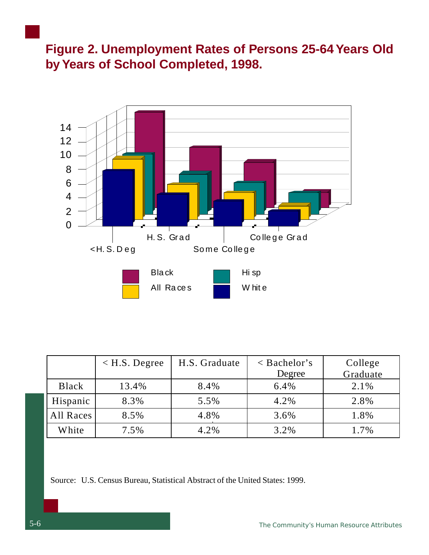**Figure 2. Unemployment Rates of Persons 25-64 Years Old by Years of School Completed, 1998.**



|              | $\langle$ H.S. Degree | H.S. Graduate | $\langle$ Bachelor's | College  |
|--------------|-----------------------|---------------|----------------------|----------|
|              |                       |               | Degree               | Graduate |
| <b>Black</b> | 13.4%                 | 8.4%          | 6.4%                 | 2.1%     |
| Hispanic     | 8.3%                  | 5.5%          | 4.2%                 | 2.8%     |
| All Races    | 8.5%                  | 4.8%          | 3.6%                 | 1.8%     |
| White        | 7.5%                  | 4.2%          | 3.2%                 | 1.7%     |

Source: U.S. Census Bureau, Statistical Abstract of the United States: 1999.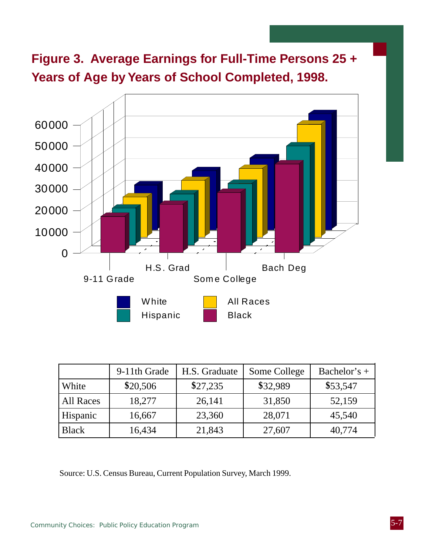**Figure 3. Average Earnings for Full-Time Persons 25 + Years of Age by Years of School Completed, 1998.**



|              | 9-11th Grade | H.S. Graduate | Some College | Bachelor's $+$ |
|--------------|--------------|---------------|--------------|----------------|
| White        | \$20,506     | \$27,235      | \$32,989     | \$53,547       |
| All Races    | 18,277       | 26,141        | 31,850       | 52,159         |
| Hispanic     | 16,667       | 23,360        | 28,071       | 45,540         |
| <b>Black</b> | 16,434       | 21,843        | 27,607       | 40,774         |

Source: U.S. Census Bureau, Current Population Survey, March 1999.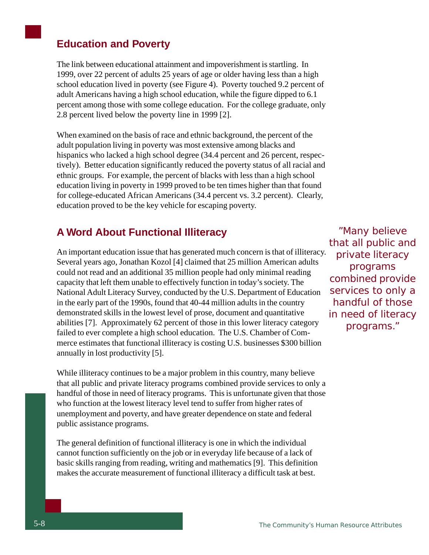### **Education and Poverty**

The link between educational attainment and impoverishment is startling. In 1999, over 22 percent of adults 25 years of age or older having less than a high school education lived in poverty (see Figure 4). Poverty touched 9.2 percent of adult Americans having a high school education, while the figure dipped to 6.1 percent among those with some college education. For the college graduate, only 2.8 percent lived below the poverty line in 1999 [2].

When examined on the basis of race and ethnic background, the percent of the adult population living in poverty was most extensive among blacks and hispanics who lacked a high school degree (34.4 percent and 26 percent, respectively). Better education significantly reduced the poverty status of all racial and ethnic groups. For example, the percent of blacks with less than a high school education living in poverty in 1999 proved to be ten times higher than that found for college-educated African Americans (34.4 percent vs. 3.2 percent). Clearly, education proved to be the key vehicle for escaping poverty.

### **A Word About Functional Illiteracy**

An important education issue that has generated much concern is that of illiteracy. Several years ago, Jonathan Kozol [4] claimed that 25 million American adults could not read and an additional 35 million people had only minimal reading capacity that left them unable to effectively function in today's society. The National Adult Literacy Survey, conducted by the U.S. Department of Education in the early part of the 1990s, found that 40-44 million adults in the country demonstrated skills in the lowest level of prose, document and quantitative abilities [7]. Approximately 62 percent of those in this lower literacy category failed to ever complete a high school education. The U.S. Chamber of Commerce estimates that functional illiteracy is costing U.S. businesses \$300 billion annually in lost productivity [5].

While illiteracy continues to be a major problem in this country, many believe that all public and private literacy programs combined provide services to only a handful of those in need of literacy programs. This is unfortunate given that those who function at the lowest literacy level tend to suffer from higher rates of unemployment and poverty, and have greater dependence on state and federal public assistance programs.

The general definition of functional illiteracy is one in which the individual cannot function sufficiently on the job or in everyday life because of a lack of basic skills ranging from reading, writing and mathematics [9]. This definition makes the accurate measurement of functional illiteracy a difficult task at best.

"Many believe that all public and private literacy programs combined provide services to only a handful of those in need of literacy programs."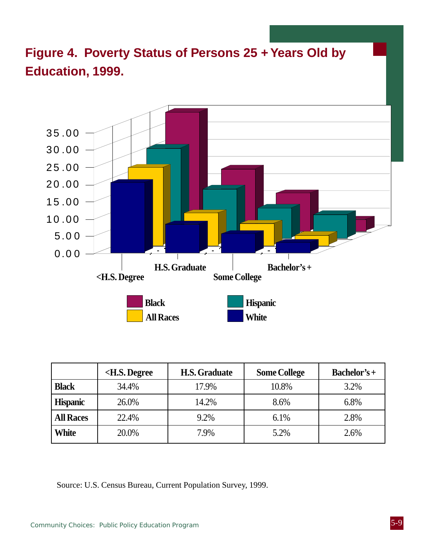

|                  | <h.s. degree<="" th=""><th><b>H.S. Graduate</b></th><th><b>Some College</b></th><th>Bachelor's+</th></h.s.> | <b>H.S. Graduate</b> | <b>Some College</b> | Bachelor's+ |
|------------------|-------------------------------------------------------------------------------------------------------------|----------------------|---------------------|-------------|
| <b>Black</b>     | 34.4%                                                                                                       | 17.9%                | 10.8%               | 3.2%        |
| <b>Hispanic</b>  | 26.0%                                                                                                       | 14.2%                | 8.6%                | 6.8%        |
| <b>All Races</b> | 22.4%                                                                                                       | 9.2%                 | 6.1%                | 2.8%        |
| White            | 20.0%                                                                                                       | 7.9%                 | 5.2%                | 2.6%        |

Source: U.S. Census Bureau, Current Population Survey, 1999.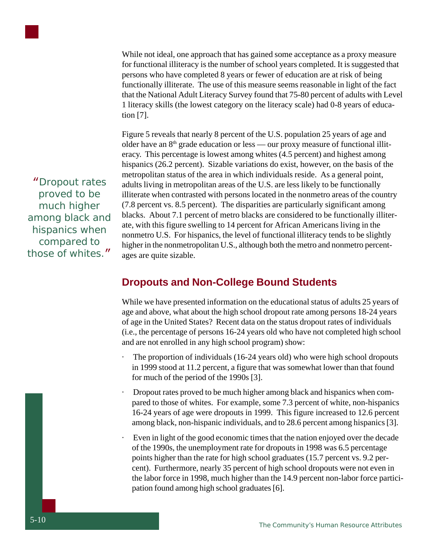

While not ideal, one approach that has gained some acceptance as a proxy measure for functional illiteracy is the number of school years completed. It is suggested that persons who have completed 8 years or fewer of education are at risk of being functionally illiterate. The use of this measure seems reasonable in light of the fact that the National Adult Literacy Survey found that 75-80 percent of adults with Level 1 literacy skills (the lowest category on the literacy scale) had 0-8 years of education [7].

Figure 5 reveals that nearly 8 percent of the U.S. population 25 years of age and older have an  $8<sup>th</sup>$  grade education or less — our proxy measure of functional illiteracy. This percentage is lowest among whites (4.5 percent) and highest among hispanics (26.2 percent). Sizable variations do exist, however, on the basis of the metropolitan status of the area in which individuals reside. As a general point, adults living in metropolitan areas of the U.S. are less likely to be functionally illiterate when contrasted with persons located in the nonmetro areas of the country (7.8 percent vs. 8.5 percent). The disparities are particularly significant among blacks. About 7.1 percent of metro blacks are considered to be functionally illiterate, with this figure swelling to 14 percent for African Americans living in the nonmetro U.S. For hispanics, the level of functional illiteracy tends to be slightly higher in the nonmetropolitan U.S., although both the metro and nonmetro percentages are quite sizable.

**Dropouts and Non-College Bound Students**

While we have presented information on the educational status of adults 25 years of age and above, what about the high school dropout rate among persons 18-24 years of age in the United States? Recent data on the status dropout rates of individuals (i.e., the percentage of persons 16-24 years old who have not completed high school and are not enrolled in any high school program) show:

- The proportion of individuals (16-24 years old) who were high school dropouts in 1999 stood at 11.2 percent, a figure that was somewhat lower than that found for much of the period of the 1990s [3].
- · Dropout rates proved to be much higher among black and hispanics when compared to those of whites. For example, some 7.3 percent of white, non-hispanics 16-24 years of age were dropouts in 1999. This figure increased to 12.6 percent among black, non-hispanic individuals, and to 28.6 percent among hispanics [3].
- Even in light of the good economic times that the nation enjoyed over the decade of the 1990s, the unemployment rate for dropouts in 1998 was 6.5 percentage points higher than the rate for high school graduates (15.7 percent vs. 9.2 percent). Furthermore, nearly 35 percent of high school dropouts were not even in the labor force in 1998, much higher than the 14.9 percent non-labor force participation found among high school graduates [6].

"Dropout rates proved to be much higher among black and hispanics when compared to those of whites."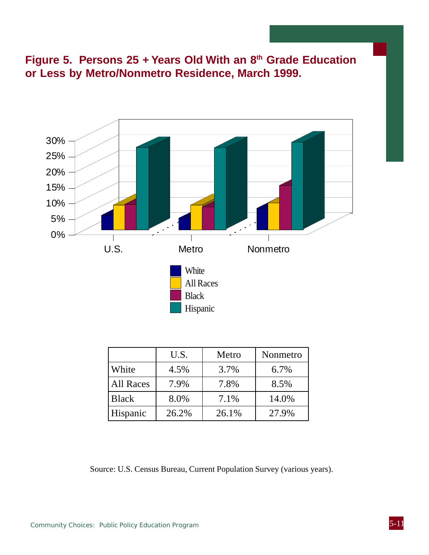**Figure 5. Persons 25 + Years Old With an 8th Grade Education or Less by Metro/Nonmetro Residence, March 1999.**



|              | U.S.  | Metro | Nonmetro |
|--------------|-------|-------|----------|
| White        | 4.5%  | 3.7%  | 6.7%     |
| All Races    | 7.9%  | 7.8%  | 8.5%     |
| <b>Black</b> | 8.0%  | 7.1%  | 14.0%    |
| Hispanic     | 26.2% | 26.1% | 27.9%    |

Source: U.S. Census Bureau, Current Population Survey (various years).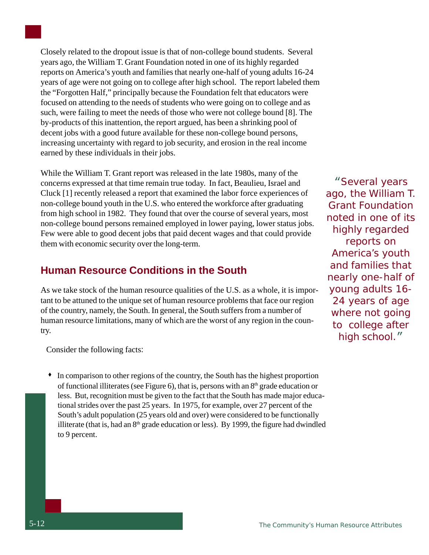Closely related to the dropout issue is that of non-college bound students. Several years ago, the William T. Grant Foundation noted in one of its highly regarded reports on America's youth and families that nearly one-half of young adults 16-24 years of age were not going on to college after high school. The report labeled them the "Forgotten Half," principally because the Foundation felt that educators were focused on attending to the needs of students who were going on to college and as such, were failing to meet the needs of those who were not college bound [8]. The by-products of this inattention, the report argued, has been a shrinking pool of decent jobs with a good future available for these non-college bound persons, increasing uncertainty with regard to job security, and erosion in the real income earned by these individuals in their jobs.

While the William T. Grant report was released in the late 1980s, many of the concerns expressed at that time remain true today. In fact, Beaulieu, Israel and Cluck [1] recently released a report that examined the labor force experiences of non-college bound youth in the U.S. who entered the workforce after graduating from high school in 1982. They found that over the course of several years, most non-college bound persons remained employed in lower paying, lower status jobs. Few were able to good decent jobs that paid decent wages and that could provide them with economic security over the long-term.

### **Human Resource Conditions in the South**

As we take stock of the human resource qualities of the U.S. as a whole, it is important to be attuned to the unique set of human resource problems that face our region of the country, namely, the South. In general, the South suffers from a number of human resource limitations, many of which are the worst of any region in the country.

Consider the following facts:

 In comparison to other regions of the country, the South has the highest proportion of functional illiterates (see Figure 6), that is, persons with an  $8<sup>th</sup>$  grade education or less. But, recognition must be given to the fact that the South has made major educational strides over the past 25 years. In 1975, for example, over 27 percent of the South's adult population (25 years old and over) were considered to be functionally illiterate (that is, had an  $8<sup>th</sup>$  grade education or less). By 1999, the figure had dwindled to 9 percent.

"Several years ago, the William T. Grant Foundation noted in one of its highly regarded reports on America's youth and families that nearly one-half of young adults 16- 24 years of age where not going to college after high school."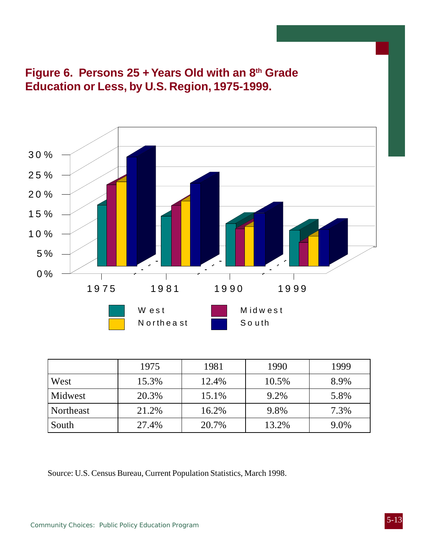



|           | 1975  | 1981  | 1990  | 1999 |
|-----------|-------|-------|-------|------|
| West      | 15.3% | 12.4% | 10.5% | 8.9% |
| Midwest   | 20.3% | 15.1% | 9.2%  | 5.8% |
| Northeast | 21.2% | 16.2% | 9.8%  | 7.3% |
| South     | 27.4% | 20.7% | 13.2% | 9.0% |

Source: U.S. Census Bureau, Current Population Statistics, March 1998.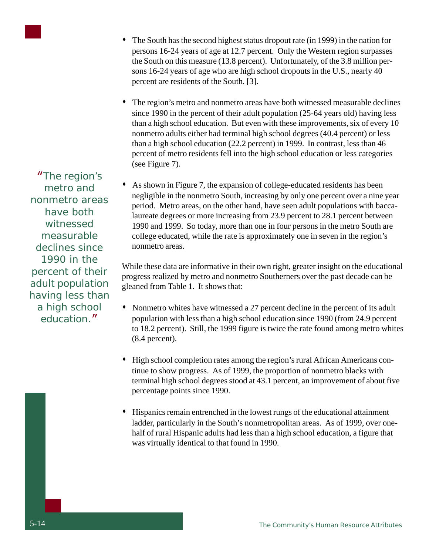

"The region's metro and nonmetro areas have both witnessed measurable declines since 1990 in the percent of their adult population having less than a high school education."

- The South has the second highest status dropout rate (in 1999) in the nation for persons 16-24 years of age at 12.7 percent. Only the Western region surpasses the South on this measure (13.8 percent). Unfortunately, of the 3.8 million persons 16-24 years of age who are high school dropouts in the U.S., nearly 40 percent are residents of the South. [3].
- The region's metro and nonmetro areas have both witnessed measurable declines since 1990 in the percent of their adult population (25-64 years old) having less than a high school education. But even with these improvements, six of every 10 nonmetro adults either had terminal high school degrees (40.4 percent) or less than a high school education (22.2 percent) in 1999. In contrast, less than 46 percent of metro residents fell into the high school education or less categories (see Figure 7).
- As shown in Figure 7, the expansion of college-educated residents has been negligible in the nonmetro South, increasing by only one percent over a nine year period. Metro areas, on the other hand, have seen adult populations with baccalaureate degrees or more increasing from 23.9 percent to 28.1 percent between 1990 and 1999. So today, more than one in four persons in the metro South are college educated, while the rate is approximately one in seven in the region's nonmetro areas.

While these data are informative in their own right, greater insight on the educational progress realized by metro and nonmetro Southerners over the past decade can be gleaned from Table 1. It shows that:

- Nonmetro whites have witnessed a 27 percent decline in the percent of its adult population with less than a high school education since 1990 (from 24.9 percent to 18.2 percent). Still, the 1999 figure is twice the rate found among metro whites (8.4 percent).
- High school completion rates among the region's rural African Americans continue to show progress. As of 1999, the proportion of nonmetro blacks with terminal high school degrees stood at 43.1 percent, an improvement of about five percentage points since 1990.
- Hispanics remain entrenched in the lowest rungs of the educational attainment ladder, particularly in the South's nonmetropolitan areas. As of 1999, over onehalf of rural Hispanic adults had less than a high school education, a figure that was virtually identical to that found in 1990.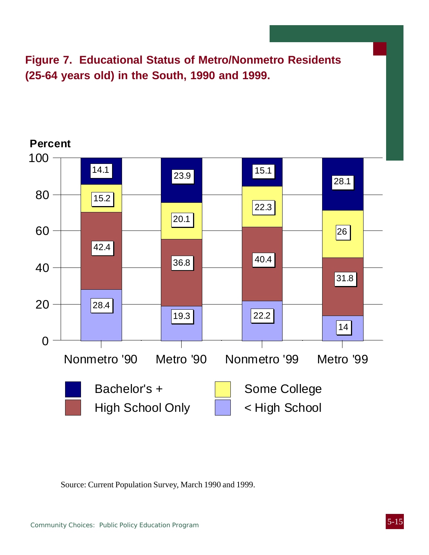**Figure 7. Educational Status of Metro/Nonmetro Residents (25-64 years old) in the South, 1990 and 1999.**



Source: Current Population Survey, March 1990 and 1999.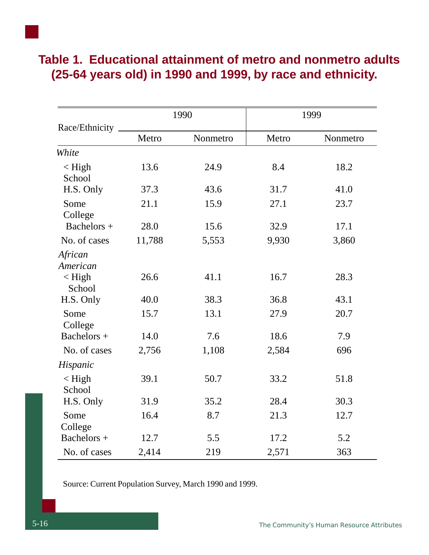|                          |        | 1990     |       | 1999     |
|--------------------------|--------|----------|-------|----------|
| Race/Ethnicity           | Metro  | Nonmetro | Metro | Nonmetro |
| White                    |        |          |       |          |
| $\langle$ High<br>School | 13.6   | 24.9     | 8.4   | 18.2     |
| H.S. Only                | 37.3   | 43.6     | 31.7  | 41.0     |
| Some<br>College          | 21.1   | 15.9     | 27.1  | 23.7     |
| Bachelors +              | 28.0   | 15.6     | 32.9  | 17.1     |
| No. of cases             | 11,788 | 5,553    | 9,930 | 3,860    |
| African<br>American      |        |          |       |          |
| $\langle$ High<br>School | 26.6   | 41.1     | 16.7  | 28.3     |
| H.S. Only                | 40.0   | 38.3     | 36.8  | 43.1     |
| Some<br>College          | 15.7   | 13.1     | 27.9  | 20.7     |
| Bachelors +              | 14.0   | 7.6      | 18.6  | 7.9      |
| No. of cases             | 2,756  | 1,108    | 2,584 | 696      |
| Hispanic                 |        |          |       |          |
| $\langle$ High<br>School | 39.1   | 50.7     | 33.2  | 51.8     |
| H.S. Only                | 31.9   | 35.2     | 28.4  | 30.3     |
| Some<br>College          | 16.4   | 8.7      | 21.3  | 12.7     |
| Bachelors +              | 12.7   | 5.5      | 17.2  | 5.2      |
| No. of cases             | 2,414  | 219      | 2,571 | 363      |

## **Table 1. Educational attainment of metro and nonmetro adults (25-64 years old) in 1990 and 1999, by race and ethnicity.**

Source: Current Population Survey, March 1990 and 1999.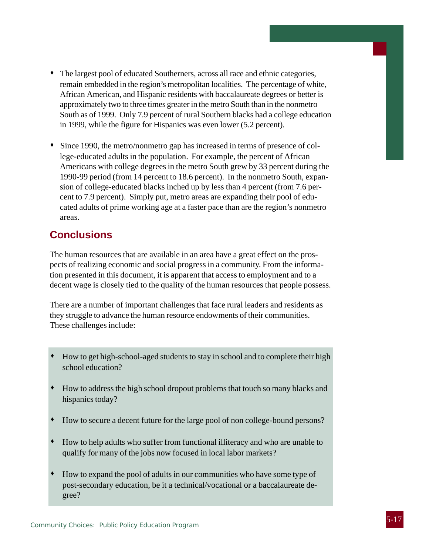- The largest pool of educated Southerners, across all race and ethnic categories, remain embedded in the region's metropolitan localities. The percentage of white, African American, and Hispanic residents with baccalaureate degrees or better is approximately two to three times greater in the metro South than in the nonmetro South as of 1999. Only 7.9 percent of rural Southern blacks had a college education in 1999, while the figure for Hispanics was even lower (5.2 percent).
- Since 1990, the metro/nonmetro gap has increased in terms of presence of college-educated adults in the population. For example, the percent of African Americans with college degrees in the metro South grew by 33 percent during the 1990-99 period (from 14 percent to 18.6 percent). In the nonmetro South, expansion of college-educated blacks inched up by less than 4 percent (from 7.6 percent to 7.9 percent). Simply put, metro areas are expanding their pool of educated adults of prime working age at a faster pace than are the region's nonmetro areas.

### **Conclusions**

The human resources that are available in an area have a great effect on the prospects of realizing economic and social progress in a community. From the information presented in this document, it is apparent that access to employment and to a decent wage is closely tied to the quality of the human resources that people possess.

There are a number of important challenges that face rural leaders and residents as they struggle to advance the human resource endowments of their communities. These challenges include:

- How to get high-school-aged students to stay in school and to complete their high school education?
- How to address the high school dropout problems that touch so many blacks and hispanics today?
- How to secure a decent future for the large pool of non college-bound persons?
- How to help adults who suffer from functional illiteracy and who are unable to qualify for many of the jobs now focused in local labor markets?
- How to expand the pool of adults in our communities who have some type of post-secondary education, be it a technical/vocational or a baccalaureate degree?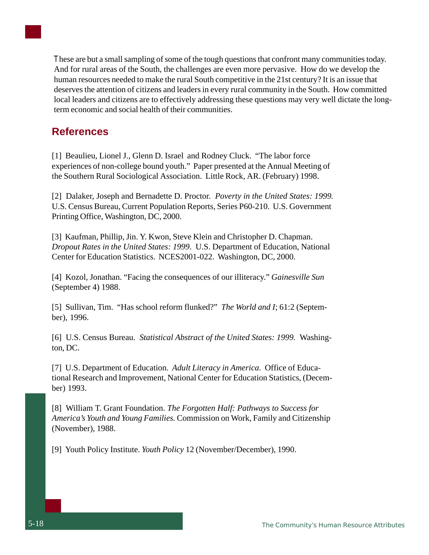

human resources needed to make the rural South competitive in the 21st century? It is an issue that deserves the attention of citizens and leaders in every rural community in the South. How committed local leaders and citizens are to effectively addressing these questions may very well dictate the longterm economic and social health of their communities.

### **References**

[1] Beaulieu, Lionel J., Glenn D. Israel and Rodney Cluck. "The labor force experiences of non-college bound youth." Paper presented at the Annual Meeting of the Southern Rural Sociological Association. Little Rock, AR. (February) 1998.

[2] Dalaker, Joseph and Bernadette D. Proctor. *Poverty in the United States: 1999.* U.S. Census Bureau, Current Population Reports, Series P60-210. U.S. Government Printing Office, Washington, DC, 2000.

[3] Kaufman, Phillip, Jin. Y. Kwon, Steve Klein and Christopher D. Chapman. *Dropout Rates in the United States: 1999*. U.S. Department of Education, National Center for Education Statistics. NCES2001-022. Washington, DC, 2000.

[4] Kozol, Jonathan. "Facing the consequences of our illiteracy." *Gainesville Sun* (September 4) 1988.

[5] Sullivan, Tim. "Has school reform flunked?" *The World and I*; 61:2 (September), 1996.

[6] U.S. Census Bureau. *Statistical Abstract of the United States: 1999.* Washington, DC.

[7] U.S. Department of Education. *Adult Literacy in America*. Office of Educational Research and Improvement, National Center for Education Statistics, (December) 1993.

[8] William T. Grant Foundation. *The Forgotten Half: Pathways to Success for America's Youth and Young Families.* Commission on Work, Family and Citizenship (November), 1988.

[9] Youth Policy Institute. *Youth Policy* 12 (November/December), 1990.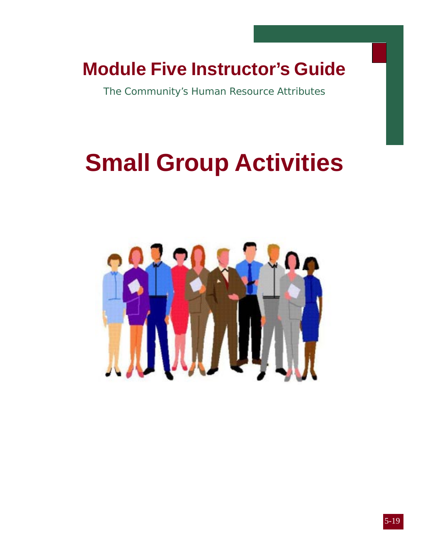## **Module Five Instructor's Guide**

The Community's Human Resource Attributes

# **Small Group Activities**



4-13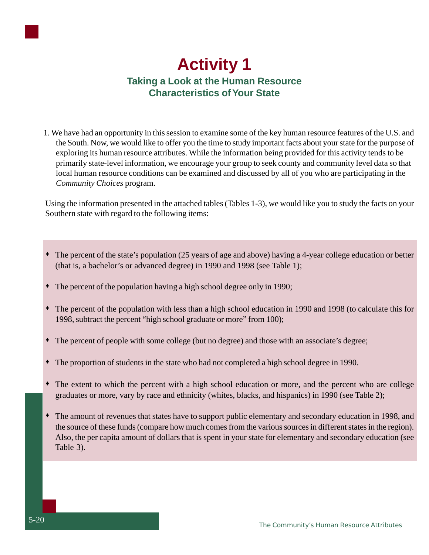

 1. We have had an opportunity in this session to examine some of the key human resource features of the U.S. and the South. Now, we would like to offer you the time to study important facts about your state for the purpose of exploring its human resource attributes. While the information being provided for this activity tends to be primarily state-level information, we encourage your group to seek county and community level data so that local human resource conditions can be examined and discussed by all of you who are participating in the *Community Choices* program.

Using the information presented in the attached tables (Tables 1-3), we would like you to study the facts on your Southern state with regard to the following items:

- The percent of the state's population (25 years of age and above) having a 4-year college education or better (that is, a bachelor's or advanced degree) in 1990 and 1998 (see Table 1);
- The percent of the population having a high school degree only in 1990;
- The percent of the population with less than a high school education in 1990 and 1998 (to calculate this for 1998, subtract the percent "high school graduate or more" from 100);
- The percent of people with some college (but no degree) and those with an associate's degree;
- The proportion of students in the state who had not completed a high school degree in 1990.
- The extent to which the percent with a high school education or more, and the percent who are college graduates or more, vary by race and ethnicity (whites, blacks, and hispanics) in 1990 (see Table 2);
- The amount of revenues that states have to support public elementary and secondary education in 1998, and the source of these funds (compare how much comes from the various sources in different states in the region). Also, the per capita amount of dollars that is spent in your state for elementary and secondary education (see Table 3).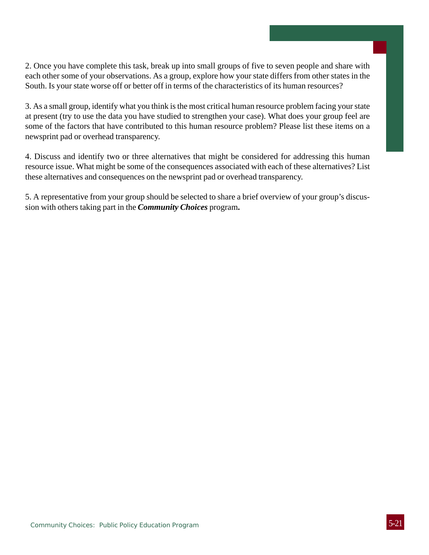2. Once you have complete this task, break up into small groups of five to seven people and share with each other some of your observations. As a group, explore how your state differs from other states in the South. Is your state worse off or better off in terms of the characteristics of its human resources?

3. As a small group, identify what you think is the most critical human resource problem facing your state at present (try to use the data you have studied to strengthen your case). What does your group feel are some of the factors that have contributed to this human resource problem? Please list these items on a newsprint pad or overhead transparency.

4. Discuss and identify two or three alternatives that might be considered for addressing this human resource issue. What might be some of the consequences associated with each of these alternatives? List these alternatives and consequences on the newsprint pad or overhead transparency.

5. A representative from your group should be selected to share a brief overview of your group's discussion with others taking part in the *Community Choices* program**.**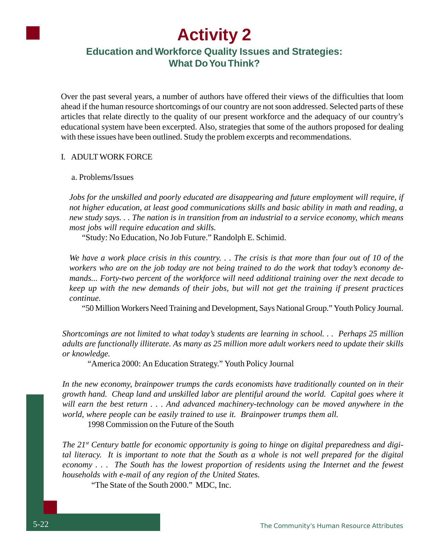## **Activity 2**

### **Education and Workforce Quality Issues and Strategies: What Do You Think?**

Over the past several years, a number of authors have offered their views of the difficulties that loom ahead if the human resource shortcomings of our country are not soon addressed. Selected parts of these articles that relate directly to the quality of our present workforce and the adequacy of our country's educational system have been excerpted. Also, strategies that some of the authors proposed for dealing with these issues have been outlined. Study the problem excerpts and recommendations.

#### I. ADULT WORK FORCE

a. Problems/Issues

*Jobs for the unskilled and poorly educated are disappearing and future employment will require, if not higher education, at least good communications skills and basic ability in math and reading, a new study says. . . The nation is in transition from an industrial to a service economy, which means most jobs will require education and skills.*

"Study: No Education, No Job Future." Randolph E. Schimid.

*We have a work place crisis in this country. . . The crisis is that more than four out of 10 of the workers who are on the job today are not being trained to do the work that today's economy demands... Forty-two percent of the workforce will need additional training over the next decade to keep up with the new demands of their jobs, but will not get the training if present practices continue.*

"50 Million Workers Need Training and Development, Says National Group." Youth Policy Journal.

*Shortcomings are not limited to what today's students are learning in school. . . Perhaps 25 million adults are functionally illiterate. As many as 25 million more adult workers need to update their skills or knowledge.*

"America 2000: An Education Strategy." Youth Policy Journal

*In the new economy, brainpower trumps the cards economists have traditionally counted on in their growth hand. Cheap land and unskilled labor are plentiful around the world. Capital goes where it will earn the best return . . . And advanced machinery-technology can be moved anywhere in the world, where people can be easily trained to use it. Brainpower trumps them all.*

1998 Commission on the Future of the South

*The 21st Century battle for economic opportunity is going to hinge on digital preparedness and digital literacy. It is important to note that the South as a whole is not well prepared for the digital economy . . . The South has the lowest proportion of residents using the Internet and the fewest households with e-mail of any region of the United States.*

"The State of the South 2000." MDC, Inc.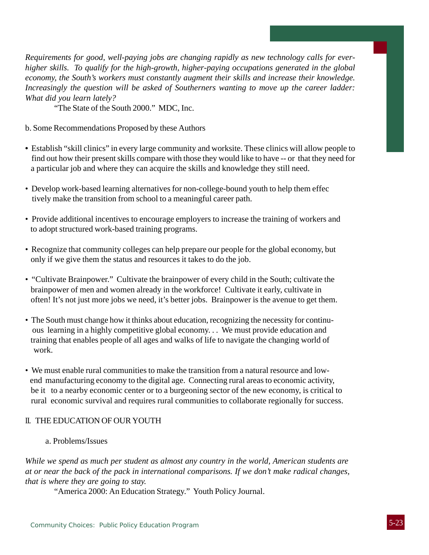*Requirements for good, well-paying jobs are changing rapidly as new technology calls for everhigher skills. To qualify for the high-growth, higher-paying occupations generated in the global economy, the South's workers must constantly augment their skills and increase their knowledge. Increasingly the question will be asked of Southerners wanting to move up the career ladder: What did you learn lately?*

"The State of the South 2000." MDC, Inc.

- b. Some Recommendations Proposed by these Authors
- Establish "skill clinics" in every large community and worksite. These clinics will allow people to find out how their present skills compare with those they would like to have -- or that they need for a particular job and where they can acquire the skills and knowledge they still need.
- Develop work-based learning alternatives for non-college-bound youth to help them effec tively make the transition from school to a meaningful career path.
- Provide additional incentives to encourage employers to increase the training of workers and to adopt structured work-based training programs.
- Recognize that community colleges can help prepare our people for the global economy, but only if we give them the status and resources it takes to do the job.
- "Cultivate Brainpower." Cultivate the brainpower of every child in the South; cultivate the brainpower of men and women already in the workforce! Cultivate it early, cultivate in often! It's not just more jobs we need, it's better jobs. Brainpower is the avenue to get them.
- The South must change how it thinks about education, recognizing the necessity for continu ous learning in a highly competitive global economy. . . We must provide education and training that enables people of all ages and walks of life to navigate the changing world of work.
- We must enable rural communities to make the transition from a natural resource and low end manufacturing economy to the digital age. Connecting rural areas to economic activity, be it to a nearby economic center or to a burgeoning sector of the new economy, is critical to rural economic survival and requires rural communities to collaborate regionally for success.

#### II. THE EDUCATION OF OUR YOUTH

#### a. Problems/Issues

*While we spend as much per student as almost any country in the world, American students are at or near the back of the pack in international comparisons. If we don't make radical changes, that is where they are going to stay.*

"America 2000: An Education Strategy." Youth Policy Journal.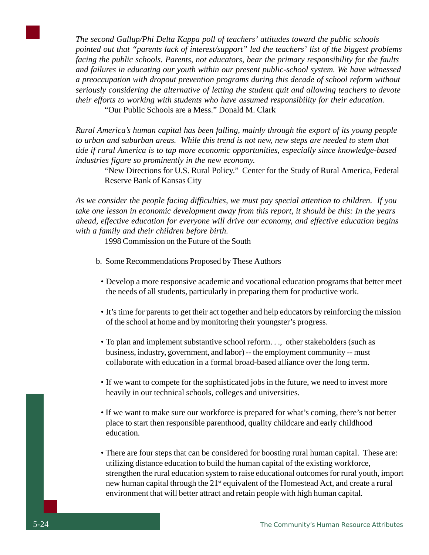*The second Gallup/Phi Delta Kappa poll of teachers' attitudes toward the public schools pointed out that "parents lack of interest/support" led the teachers' list of the biggest problems facing the public schools. Parents, not educators, bear the primary responsibility for the faults and failures in educating our youth within our present public-school system. We have witnessed a preoccupation with dropout prevention programs during this decade of school reform without seriously considering the alternative of letting the student quit and allowing teachers to devote their efforts to working with students who have assumed responsibility for their education.*

"Our Public Schools are a Mess." Donald M. Clark

*Rural America's human capital has been falling, mainly through the export of its young people to urban and suburban areas. While this trend is not new, new steps are needed to stem that tide if rural America is to tap more economic opportunities, especially since knowledge-based industries figure so prominently in the new economy.*

"New Directions for U.S. Rural Policy." Center for the Study of Rural America, Federal Reserve Bank of Kansas City

*As we consider the people facing difficulties, we must pay special attention to children. If you take one lesson in economic development away from this report, it should be this: In the years ahead, effective education for everyone will drive our economy, and effective education begins with a family and their children before birth.*

1998 Commission on the Future of the South

- b. Some Recommendations Proposed by These Authors
	- Develop a more responsive academic and vocational education programs that better meet the needs of all students, particularly in preparing them for productive work.
	- It's time for parents to get their act together and help educators by reinforcing the mission of the school at home and by monitoring their youngster's progress.
	- To plan and implement substantive school reform. . ., other stakeholders (such as business, industry, government, and labor) -- the employment community -- must collaborate with education in a formal broad-based alliance over the long term.
	- If we want to compete for the sophisticated jobs in the future, we need to invest more heavily in our technical schools, colleges and universities.
	- If we want to make sure our workforce is prepared for what's coming, there's not better place to start then responsible parenthood, quality childcare and early childhood education.
	- There are four steps that can be considered for boosting rural human capital. These are: utilizing distance education to build the human capital of the existing workforce, strengthen the rural education system to raise educational outcomes for rural youth, import new human capital through the 21<sup>st</sup> equivalent of the Homestead Act, and create a rural environment that will better attract and retain people with high human capital.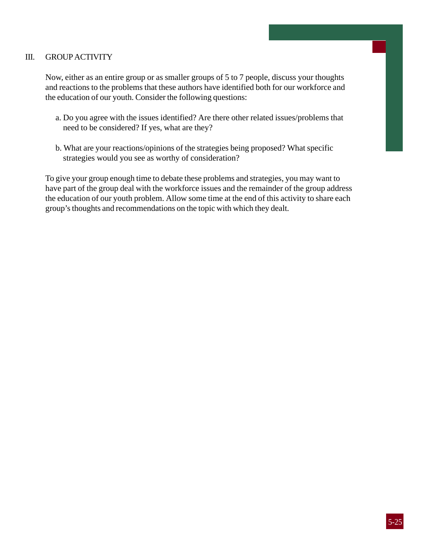#### III. GROUP ACTIVITY

Now, either as an entire group or as smaller groups of 5 to 7 people, discuss your thoughts and reactions to the problems that these authors have identified both for our workforce and the education of our youth. Consider the following questions:

- a. Do you agree with the issues identified? Are there other related issues/problems that need to be considered? If yes, what are they?
- b. What are your reactions/opinions of the strategies being proposed? What specific strategies would you see as worthy of consideration?

To give your group enough time to debate these problems and strategies, you may want to have part of the group deal with the workforce issues and the remainder of the group address the education of our youth problem. Allow some time at the end of this activity to share each group's thoughts and recommendations on the topic with which they dealt.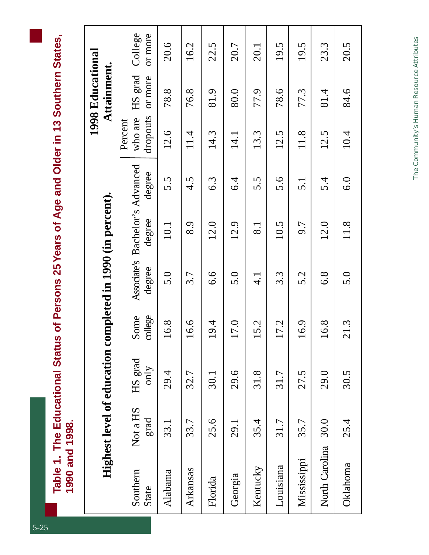| <b>Dider in 13 Sout</b>         |             |
|---------------------------------|-------------|
| O<br>DQ                         |             |
|                                 |             |
| ।<br>८                          |             |
|                                 |             |
|                                 |             |
|                                 |             |
| rsons 25 Years of Age           |             |
|                                 |             |
|                                 |             |
|                                 |             |
| us of Per                       |             |
|                                 |             |
|                                 |             |
| ن<br>آ                          |             |
|                                 |             |
|                                 |             |
| ვე<br>ე                         |             |
|                                 | Į           |
| $\blacksquare$ is The Education |             |
| $\sim$ ble 1.                   |             |
|                                 | י<br>ה<br>ה |
|                                 |             |

|                   |                  | Highest level of education completed in 1990 (in percent). |                 |               |                                           |                       |                                | 1998 Educational<br>Attainment. |                    |
|-------------------|------------------|------------------------------------------------------------|-----------------|---------------|-------------------------------------------|-----------------------|--------------------------------|---------------------------------|--------------------|
| Southern<br>State | Not a HS<br>grad | HS grad<br>only                                            | college<br>Some | degree        | Associate's Bachelor's Advanced<br>degree | degree                | dropouts<br>who are<br>Percent | HS grad<br>or more              | College<br>or more |
| Alabama           | 33.1             | 29.4                                                       | 16.8            | 5.0           | 10.1                                      | 5.5                   | 12.6                           | 78.8                            | 20.6               |
| Arkansas          | 33.7             | 32.7                                                       | 16.6            | 3.7           | 8.9                                       | 4.5                   | 11.4                           | 76.8                            | 16.2               |
| Florida           | 25.6             | 30.1                                                       | 19.4            | 6.6           | 12.0                                      | 6.3                   | 14.3                           | 81.9                            | 22.5               |
| Georgia           | 29.1             | 29.6                                                       | 17.0            | 5.0           | 12.9                                      | $6\overset{4}{\circ}$ | 14.1                           | 80.0                            | 20.7               |
| Kentucky          | 35.4             | 31.8                                                       | 15.2            | $\frac{1}{4}$ | $\overline{8.1}$                          | 5.5                   | 13.3                           | 77.9                            | 20.1               |
| Louisiana         | 31.7             | 31.7                                                       | 17.2            | 3.3           | 10.5                                      | 5.6                   | 12.5                           | 78.6                            | 19.5               |
| Mississippi       | 35.7             | 27.5                                                       | 16.9            | 5.2           | 9.7                                       | $\overline{5}.1$      | 11.8                           | 77.3                            | 19.5               |
| North Carolina    | 30.0             | 29.0                                                       | 16.8            | 6.8           | 12.0                                      | 5.4                   | 12.5                           | 81.4                            | 23.3               |
| Oklahoma          | 25.4             | 30.5                                                       | 21.3            | 5.0           | 11.8                                      | $\overline{6.0}$      | 10.4                           | 84.6                            | 20.5               |

The Community's Human Resource Attributes *The Community's Human Resource Attributes*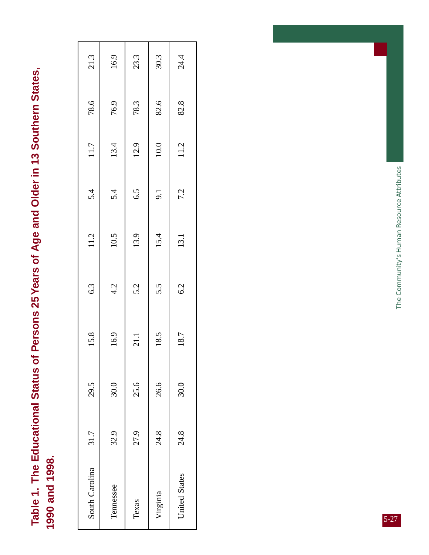Table 1. The Educational Status of Persons 25 Years of Age and Older in 13 Southern States, **Table 1. The Educational Status of Persons 25 Years of Age and Older in 13 Southern States,** 1990 and 1998. **1990 and 1998.**

| South Carolina | 31.7 | 29.5 | 15.8 | 6.3 | 11.2 | 5.4 | 11.7 | 78.6 | 21.3 |
|----------------|------|------|------|-----|------|-----|------|------|------|
|                | 32.9 | 30.0 | 16.9 | 4.2 | 10.5 | 5.4 | 13.4 | 76.9 | 16.9 |
|                | 27.9 | 25.6 | 21.1 | 5.2 | 13.9 | 6.5 | 12.9 | 78.3 | 23.3 |
|                | 24.8 | 26.6 | 18.5 | 5.5 | 15.4 | 9.1 | 10.0 | 82.6 | 30.3 |
|                | 24.8 | 30.0 | 18.7 | 6.2 | 13.1 | 7.2 | 11.2 | 82.8 | 24.4 |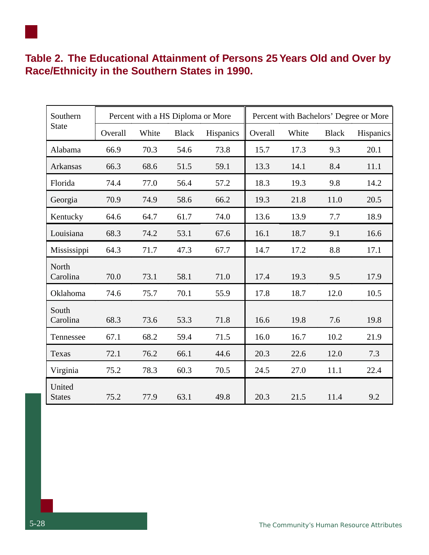### **Table 2. The Educational Attainment of Persons 25 Years Old and Over by Race/Ethnicity in the Southern States in 1990.**

| Southern                |         | Percent with a HS Diploma or More |              |           |         |       |              | Percent with Bachelors' Degree or More |
|-------------------------|---------|-----------------------------------|--------------|-----------|---------|-------|--------------|----------------------------------------|
| <b>State</b>            | Overall | White                             | <b>Black</b> | Hispanics | Overall | White | <b>Black</b> | Hispanics                              |
| Alabama                 | 66.9    | 70.3                              | 54.6         | 73.8      | 15.7    | 17.3  | 9.3          | 20.1                                   |
| Arkansas                | 66.3    | 68.6                              | 51.5         | 59.1      | 13.3    | 14.1  | 8.4          | 11.1                                   |
| Florida                 | 74.4    | 77.0                              | 56.4         | 57.2      | 18.3    | 19.3  | 9.8          | 14.2                                   |
| Georgia                 | 70.9    | 74.9                              | 58.6         | 66.2      | 19.3    | 21.8  | 11.0         | 20.5                                   |
| Kentucky                | 64.6    | 64.7                              | 61.7         | 74.0      | 13.6    | 13.9  | 7.7          | 18.9                                   |
| Louisiana               | 68.3    | 74.2                              | 53.1         | 67.6      | 16.1    | 18.7  | 9.1          | 16.6                                   |
| Mississippi             | 64.3    | 71.7                              | 47.3         | 67.7      | 14.7    | 17.2  | 8.8          | 17.1                                   |
| North<br>Carolina       | 70.0    | 73.1                              | 58.1         | 71.0      | 17.4    | 19.3  | 9.5          | 17.9                                   |
| Oklahoma                | 74.6    | 75.7                              | 70.1         | 55.9      | 17.8    | 18.7  | 12.0         | 10.5                                   |
| South<br>Carolina       | 68.3    | 73.6                              | 53.3         | 71.8      | 16.6    | 19.8  | 7.6          | 19.8                                   |
| Tennessee               | 67.1    | 68.2                              | 59.4         | 71.5      | 16.0    | 16.7  | 10.2         | 21.9                                   |
| Texas                   | 72.1    | 76.2                              | 66.1         | 44.6      | 20.3    | 22.6  | 12.0         | 7.3                                    |
| Virginia                | 75.2    | 78.3                              | 60.3         | 70.5      | 24.5    | 27.0  | 11.1         | 22.4                                   |
| United<br><b>States</b> | 75.2    | 77.9                              | 63.1         | 49.8      | 20.3    | 21.5  | 11.4         | 9.2                                    |